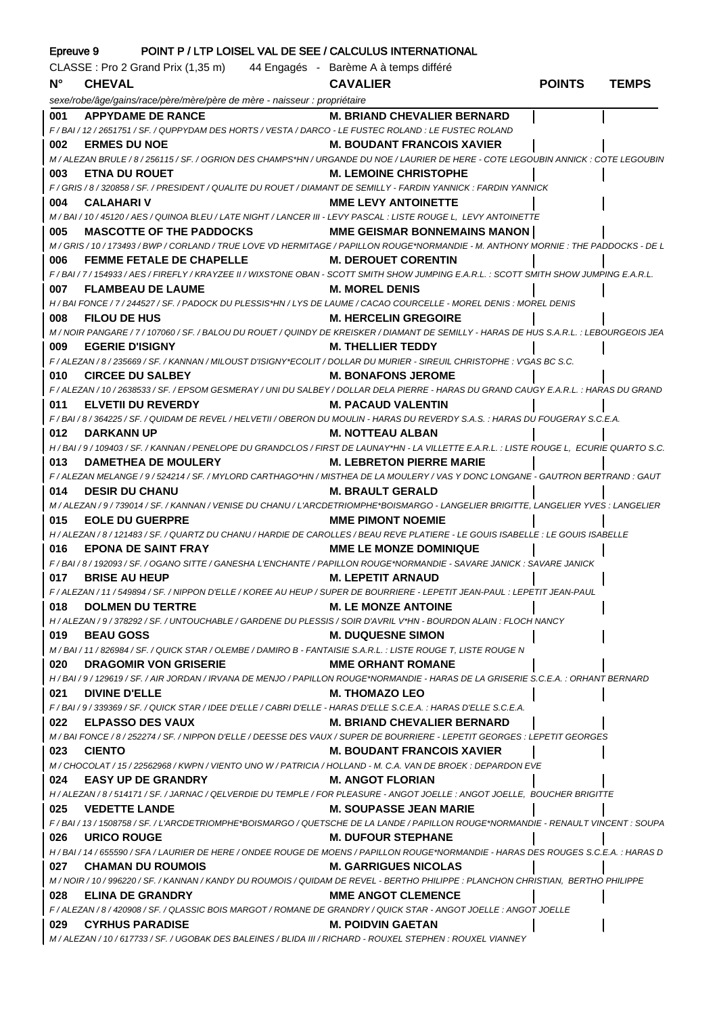| Epreuve 9 POINT P / LTP LOISEL VAL DE SEE / CALCULUS INTERNATIONAL                                                                          |                                    |               |              |
|---------------------------------------------------------------------------------------------------------------------------------------------|------------------------------------|---------------|--------------|
| CLASSE : Pro 2 Grand Prix (1,35 m) 44 Engagés - Barème A à temps différé                                                                    |                                    |               |              |
| $N^{\circ}$<br><b>CHEVAL</b>                                                                                                                | <b>CAVALIER</b>                    | <b>POINTS</b> | <b>TEMPS</b> |
| sexe/robe/âge/gains/race/père/mère/père de mère - naisseur : propriétaire                                                                   |                                    |               |              |
| APPYDAME DE RANCE M. BRIAND CHEVALIER BERNARD<br>001                                                                                        |                                    |               |              |
| F / BAI / 12 / 2651751 / SF. / QUPPYDAM DES HORTS / VESTA / DARCO - LE FUSTEC ROLAND : LE FUSTEC ROLAND                                     |                                    |               |              |
| 002<br><b>ERMES DU NOE</b>                                                                                                                  | <b>M. BOUDANT FRANCOIS XAVIER</b>  |               |              |
| M / ALEZAN BRULE / 8 / 256115 / SF. / OGRION DES CHAMPS*HN / URGANDE DU NOE / LAURIER DE HERE - COTE LEGOUBIN ANNICK : COTE LEGOUBIN        |                                    |               |              |
| 003<br><b>ETNA DU ROUET</b>                                                                                                                 | <b>M. LEMOINE CHRISTOPHE</b>       |               |              |
| F / GRIS / 8 / 320858 / SF. / PRESIDENT / QUALITE DU ROUET / DIAMANT DE SEMILLY - FARDIN YANNICK : FARDIN YANNICK                           |                                    |               |              |
| 004<br><b>CALAHARI V</b>                                                                                                                    | <b>MME LEVY ANTOINETTE</b>         |               |              |
| M / BAI / 10 / 45120 / AES / QUINOA BLEU / LATE NIGHT / LANCER III - LEVY PASCAL : LISTE ROUGE L, LEVY ANTOINETTE                           |                                    |               |              |
| MASCOTTE OF THE PADDOCKS MME GEISMAR BONNEMAINS MANON  <br>005                                                                              |                                    |               |              |
| M / GRIS / 10 / 173493 / BWP / CORLAND / TRUE LOVE VD HERMITAGE / PAPILLON ROUGE*NORMANDIE - M. ANTHONY MORNIE : THE PADDOCKS - DE L        |                                    |               |              |
| <b>FEMME FETALE DE CHAPELLE</b><br>006                                                                                                      | <b>M. DEROUET CORENTIN</b>         |               |              |
| F/BAI/7/154933/AES/FIREFLY/KRAYZEE II/WIXSTONE OBAN - SCOTT SMITH SHOW JUMPING E.A.R.L.: SCOTT SMITH SHOW JUMPING E.A.R.L.                  |                                    |               |              |
| <b>FLAMBEAU DE LAUME</b><br>007                                                                                                             | <b>M. MOREL DENIS</b>              |               |              |
| H / BAI FONCE / 7 / 244527 / SF. / PADOCK DU PLESSIS*HN / LYS DE LAUME / CACAO COURCELLE - MOREL DENIS : MOREL DENIS                        |                                    |               |              |
| 008<br><b>FILOU DE HUS</b>                                                                                                                  | <b>M. HERCELIN GREGOIRE</b>        |               |              |
| M / NOIR PANGARE / 7 / 107060 / SF. / BALOU DU ROUET / QUINDY DE KREISKER / DIAMANT DE SEMILLY - HARAS DE HUS S.A.R.L. : LEBOURGEOIS JEA    |                                    |               |              |
| <b>EGERIE D'ISIGNY</b><br>009                                                                                                               | M. THELLIER TEDDY                  |               |              |
| F / ALEZAN / 8 / 235669 / SF. / KANNAN / MILOUST D'ISIGNY*ECOLIT / DOLLAR DU MURIER - SIREUIL CHRISTOPHE : V'GAS BC S.C.                    |                                    |               |              |
| <b>CIRCEE DU SALBEY</b><br>010                                                                                                              | <b>M. BONAFONS JEROME</b>          |               |              |
| F / ALEZAN / 10 / 2638533 / SF. / EPSOM GESMERAY / UNI DU SALBEY / DOLLAR DELA PIERRE - HARAS DU GRAND CAUGY E.A.R.L. : HARAS DU GRAND      |                                    |               |              |
| <b>ELVETII DU REVERDY</b><br>011                                                                                                            | M. PACAUD VALENTIN                 |               |              |
| F / BAI / 8 / 364225 / SF. / QUIDAM DE REVEL / HELVETII / OBERON DU MOULIN - HARAS DU REVERDY S.A.S.: HARAS DU FOUGERAY S.C.E.A.            |                                    |               |              |
| 012<br><b>DARKANN UP</b>                                                                                                                    | M. NOTTEAU ALBAN                   |               |              |
| H / BAI / 9 / 109403 / SF. / KANNAN / PENELOPE DU GRANDCLOS / FIRST DE LAUNAY*HN - LA VILLETTE E.A.R.L. : LISTE ROUGE L, ECURIE QUARTO S.C. |                                    |               |              |
| <b>DAMETHEA DE MOULERY</b><br>013                                                                                                           | <b>M. LEBRETON PIERRE MARIE</b>    |               |              |
| F / ALEZAN MELANGE / 9 / 524214 / SF. / MYLORD CARTHAGO*HN / MISTHEA DE LA MOULERY / VAS Y DONC LONGANE - GAUTRON BERTRAND : GAUT           |                                    |               |              |
| 014<br><b>DESIR DU CHANU</b>                                                                                                                | <b>M. BRAULT GERALD</b>            |               |              |
| M / ALEZAN / 9 / 739014 / SF. / KANNAN / VENISE DU CHANU / L'ARCDETRIOMPHE*BOISMARGO - LANGELIER BRIGITTE, LANGELIER YVES : LANGELIER       |                                    |               |              |
| <b>EOLE DU GUERPRE</b><br>015                                                                                                               | <b>MME PIMONT NOEMIE</b>           |               |              |
| H / ALEZAN / 8 / 121483 / SF. / QUARTZ DU CHANU / HARDIE DE CAROLLES / BEAU REVE PLATIERE - LE GOUIS ISABELLE                               |                                    |               |              |
| EPONA DE SAINT FRAY<br>016                                                                                                                  | <b>MME LE MONZE DOMINIQUE</b>      |               |              |
| F / BAI / 8 / 192093 / SF. / OGANO SITTE / GANESHA L'ENCHANTE / PAPILLON ROUGE*NORMANDIE - SAVARE JANICK : SAVARE JANICK                    |                                    |               |              |
| <b>BRISE AU HEUP</b><br>017                                                                                                                 | <b>M. LEPETIT ARNAUD</b>           |               |              |
| F / ALEZAN / 11 / 549894 / SF. / NIPPON D'ELLE / KOREE AU HEUP / SUPER DE BOURRIERE - LEPETIT JEAN-PAUL : LEPETIT JEAN-PAUL                 |                                    |               |              |
| 018<br><b>DOLMEN DU TERTRE</b>                                                                                                              | <b>M. LE MONZE ANTOINE</b>         |               |              |
| H / ALEZAN / 9 / 378292 / SF. / UNTOUCHABLE / GARDENE DU PLESSIS / SOIR D'AVRIL V*HN - BOURDON ALAIN : FLOCH NANCY                          |                                    |               |              |
| <b>BEAU GOSS</b><br>019                                                                                                                     | <b>M. DUQUESNE SIMON</b>           |               |              |
| M/BAI/11/826984/SF./QUICK STAR/OLEMBE/DAMIRO B - FANTAISIE S.A.R.L. : LISTE ROUGE T. LISTE ROUGE N                                          |                                    |               |              |
| 020<br><b>DRAGOMIR VON GRISERIE</b>                                                                                                         | <b>MME ORHANT ROMANE</b>           |               |              |
| H / BAI / 9 / 129619 / SF. / AIR JORDAN / IRVANA DE MENJO / PAPILLON ROUGE*NORMANDIE - HARAS DE LA GRISERIE S.C.E.A. : ORHANT BERNARD       |                                    |               |              |
| 021<br><b>DIVINE D'ELLE</b>                                                                                                                 | <b>M. THOMAZO LEO</b>              |               |              |
| F / BAI / 9 / 339369 / SF. / QUICK STAR / IDEE D'ELLE / CABRI D'ELLE - HARAS D'ELLE S.C.E.A. : HARAS D'ELLE S.C.E.A.                        |                                    |               |              |
| <b>ELPASSO DES VAUX</b><br>022                                                                                                              | <b>M. BRIAND CHEVALIER BERNARD</b> |               |              |
| M/BAI FONCE/8/252274/SF./NIPPON D'ELLE/DEESSE DES VAUX/SUPER DE BOURRIERE - LEPETIT GEORGES : LEPETIT GEORGES                               |                                    |               |              |
| 023<br><b>CIENTO</b>                                                                                                                        | <b>M. BOUDANT FRANCOIS XAVIER</b>  |               |              |
| M / CHOCOLAT / 15 / 22562968 / KWPN / VIENTO UNO W / PATRICIA / HOLLAND - M. C.A. VAN DE BROEK : DEPARDON EVE                               |                                    |               |              |
| 024 EASY UP DE GRANDRY                                                                                                                      | <b>M. ANGOT FLORIAN</b>            |               |              |
| H / ALEZAN / 8 / 514171 / SF. / JARNAC / QELVERDIE DU TEMPLE / FOR PLEASURE - ANGOT JOELLE : ANGOT JOELLE, BOUCHER BRIGITTE                 |                                    |               |              |
| 025 VEDETTE LANDE                                                                                                                           | <b>M. SOUPASSE JEAN MARIE</b>      |               |              |
| F / BAI / 13 / 1508758 / SF. / L'ARCDETRIOMPHE*BOISMARGO / QUETSCHE DE LA LANDE / PAPILLON ROUGE*NORMANDIE - RENAULT VINCENT : SOUPA        |                                    |               |              |
| 026 URICO ROUGE                                                                                                                             | <b>M. DUFOUR STEPHANE</b>          |               |              |
| H / BAI / 14 / 655590 / SFA / LAURIER DE HERE / ONDEE ROUGE DE MOENS / PAPILLON ROUGE*NORMANDIE - HARAS DES ROUGES S.C.E.A. : HARAS D       |                                    |               |              |
| 027<br><b>CHAMAN DU ROUMOIS</b>                                                                                                             | <b>M. GARRIGUES NICOLAS</b>        |               |              |
| M / NOIR / 10 / 996220 / SF. / KANNAN / KANDY DU ROUMOIS / QUIDAM DE REVEL - BERTHO PHILIPPE : PLANCHON CHRISTIAN, BERTHO PHILIPPE          |                                    |               |              |
| 028<br><b>ELINA DE GRANDRY</b>                                                                                                              | <b>MME ANGOT CLEMENCE</b>          |               |              |
| F / ALEZAN / 8 / 420908 / SF. / QLASSIC BOIS MARGOT / ROMANE DE GRANDRY / QUICK STAR - ANGOT JOELLE : ANGOT JOELLE                          |                                    |               |              |
| 029 CYRHUS PARADISE                                                                                                                         | <b>M. POIDVIN GAETAN</b>           |               |              |
|                                                                                                                                             |                                    |               |              |

M / ALEZAN / 10 / 617733 / SF. / UGOBAK DES BALEINES / BLIDA III / RICHARD - ROUXEL STEPHEN : ROUXEL VIANNEY